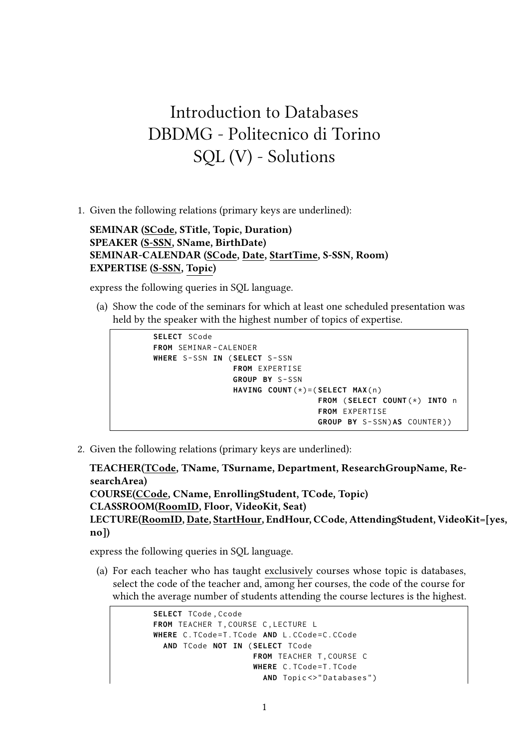## Introduction to Databases DBDMG - Politecnico di Torino SQL (V) - Solutions

1. Given the following relations (primary keys are underlined):

**SEMINAR (SCode, STitle, Topic, Duration) SPEAKER (S-SSN, SName, BirthDate) SEMINAR-CALENDAR (SCode, Date, StartTime, S-SSN, Room) EXPERTISE (S-SSN, Topic)**

express the following queries in SQL language.

(a) Show the code of the seminars for which at least one scheduled presentation was held by the speaker with the highest number of topics of expertise.



2. Given the following relations (primary keys are underlined):

**TEACHER(TCode, TName, TSurname, Department, ResearchGroupName, ResearchArea) COURSE(CCode, CName, EnrollingStudent, TCode, Topic) CLASSROOM(RoomID, Floor, VideoKit, Seat) LECTURE(RoomID, Date, StartHour, EndHour, CCode, AttendingStudent, VideoKit=[yes, no])**

express the following queries in SQL language.

(a) For each teacher who has taught exclusively courses whose topic is databases, select the code of the teacher and, among her courses, the code of the course for which the average number of students attending the course lectures is the highest.

```
SELECT TCode , Ccode
FROM TEACHER T, COURSE C, LECTURE L
WHERE C . TCode = T . TCode AND L . CCode = C . CCode
  AND TCode NOT IN ( SELECT TCode
                      FROM TEACHER T. COURSE C
                      WHERE C. TCode=T. TCode
                        AND Topic <> "Databases")
```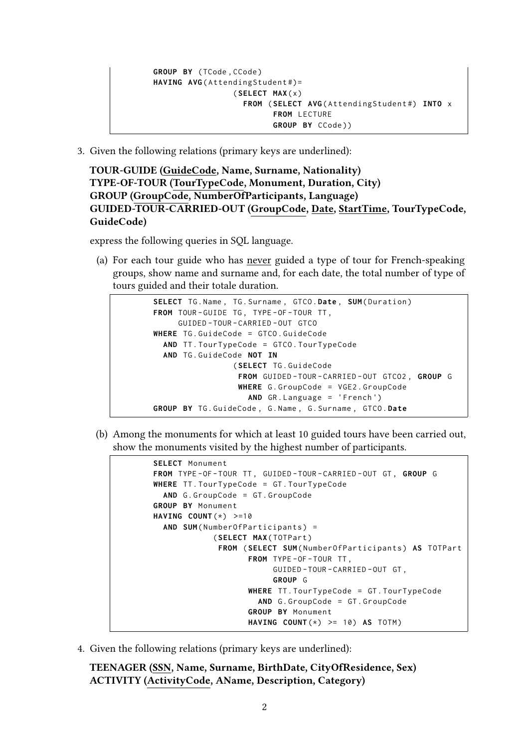```
GROUP BY ( TCode , CCode )
HAVING AVG(AttendingStudent#)=
                  ( SELECT MAX ( x )
                    FROM ( SELECT AVG ( AttendingStudent #) INTO x
                           FROM LECTURE
                          GROUP BY CCode ))
```
3. Given the following relations (primary keys are underlined):

**TOUR-GUIDE (GuideCode, Name, Surname, Nationality) TYPE-OF-TOUR (TourTypeCode, Monument, Duration, City) GROUP (GroupCode, NumberOfParticipants, Language) GUIDED-TOUR-CARRIED-OUT (GroupCode, Date, StartTime, TourTypeCode, GuideCode)**

express the following queries in SQL language.

(a) For each tour guide who has never guided a type of tour for French-speaking groups, show name and surname and, for each date, the total number of type of tours guided and their totale duration.

```
SELECT TG . Name , TG . Surname , GTCO .Date , SUM ( Duration )
FROM TOUR - GUIDE TG , TYPE - OF - TOUR TT ,
     GUIDED - TOUR - CARRIED - OUT GTCO
WHERE TG . GuideCode = GTCO . GuideCode
  AND TT . TourTypeCode = GTCO . TourTypeCode
  AND TG . GuideCode NOT IN
                  ( SELECT TG . GuideCode
                    FROM GUIDED - TOUR - CARRIED - OUT GTCO2 , GROUP G
                    WHERE G . GroupCode = VGE2 . GroupCode
                      AND GR . Language = 'French ')
GROUP BY TG . GuideCode , G . Name , G . Surname , GTCO . Date
```
(b) Among the monuments for which at least 10 guided tours have been carried out, show the monuments visited by the highest number of participants.

```
SELECT Monument
FROM TYPE - OF - TOUR TT , GUIDED - TOUR - CARRIED - OUT GT , GROUP G
WHERE TT . TourTypeCode = GT . TourTypeCode
  AND G . GroupCode = GT . GroupCode
GROUP BY Monument
HAVING COUNT (*) >=10
  AND SUM (NumberOfParticipants) =
             ( SELECT MAX ( TOTPart )
              FROM ( SELECT SUM ( NumberOfParticipants ) AS TOTPart
                     FROM TYPE-OF-TOUR TT,
                          GUIDED - TOUR - CARRIED - OUT GT ,
                          GROUP G
                     WHERE TT . TourTypeCode = GT . TourTypeCode
                       AND G . GroupCode = GT . GroupCode
                     GROUP BY Monument
                     HAVING COUNT (*) >= 10) AS TOTM )
```
4. Given the following relations (primary keys are underlined):

**TEENAGER (SSN, Name, Surname, BirthDate, CityOfResidence, Sex) ACTIVITY (ActivityCode, AName, Description, Category)**